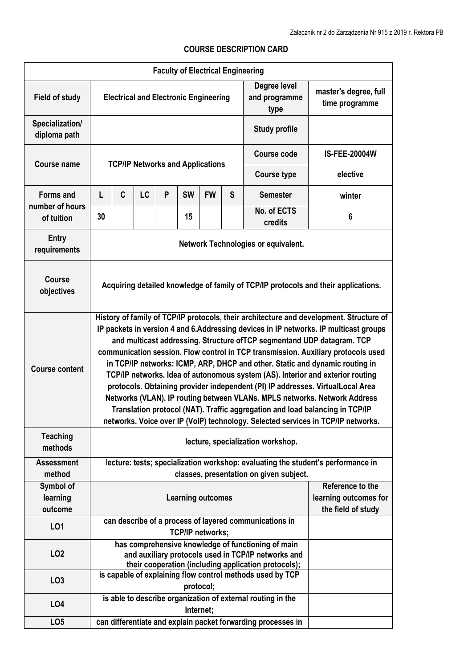## **Faculty of Electrical Engineering Field of study Electrical and Electronic Engineering Degree level and programme type master's degree, full time programme Specialization/ diploma path Study profile Course name TCP/IP Networks and Applications Course code IS-FEE-20004W Course type elective Forms and number of hours of tuition L C LC P SW FW S Semester winter 30 1 1 1 1 15 1 1 1 No. of ECTS credits <sup>6</sup> Entry requirements** *requirements network Technologies or equivalent.* **Course objectives Acquiring detailed knowledge of family of TCP/IP protocols and their applications. Course content History of family of TCP/IP protocols, their architecture and development. Structure of IP packets in version 4 and 6.Addressing devices in IP networks. IP multicast groups and multicast addressing. Structure ofTCP segmentand UDP datagram. TCP communication session. Flow control in TCP transmission. Auxiliary protocols used in TCP/IP networks: ICMP, ARP, DHCP and other. Static and dynamic routing in TCP/IP networks. Idea of autonomous system (AS). Interior and exterior routing protocols. Obtaining provider independent (PI) IP addresses. VirtualLocal Area Networks (VLAN). IP routing between VLANs. MPLS networks. Network Address Translation protocol (NAT). Traffic aggregation and load balancing in TCP/IP networks. Voice over IP (VoIP) technology. Selected services in TCP/IP networks. Teaching methods lecture, specialization workshop. Assessment method lecture: tests; specialization workshop: evaluating the student's performance in classes, presentation on given subject. Symbol of learning outcome Learning outcomes Reference to the learning outcomes for the field of study LO1 can describe of a process of layered communications in TCP/IP networks; LO2 has comprehensive knowledge of functioning of main and auxiliary protocols used in TCP/IP networks and their cooperation (including application protocols); LO3 is capable of explaining flow control methods used by TCP protocol; LO4 is able to describe organization of external routing in the Internet; LO5 can differentiate and explain packet forwarding processes in**

## **COURSE DESCRIPTION CARD**